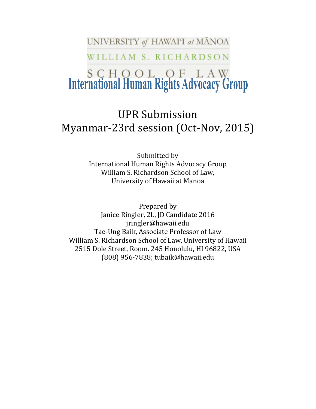UNIVERSITY of HAWAIT at MANOA

WILLIAM S. RICHARDSON

# **S C H O O L O F L A W**<br>International Human Rights Advocacy Group

# UPR Submission Myanmar-23rd session (Oct-Nov, 2015)

Submitted by International Human Rights Advocacy Group William S. Richardson School of Law, University of Hawaii at Manoa

Prepared by Janice Ringler, 2L, JD Candidate 2016 jringler@hawaii.edu Tae-Ung Baik, Associate Professor of Law William S. Richardson School of Law, University of Hawaii 2515 Dole Street, Room. 245 Honolulu, HI 96822, USA (808) 956-7838; tubaik@hawaii.edu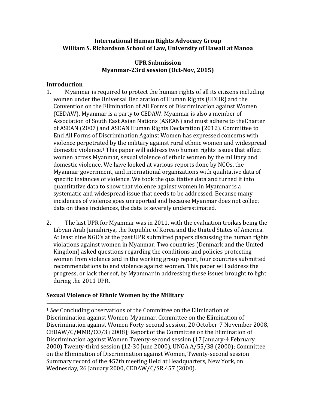#### **International Human Rights Advocacy Group William S. Richardson School of Law, University of Hawaii at Manoa**

#### **UPR Submission Myanmar-23rd session (Oct-Nov, 2015)**

#### **Introduction**

 $\overline{a}$ 

- 1. Myanmar is required to protect the human rights of all its citizens including women under the Universal Declaration of Human Rights (UDHR) and the Convention on the Elimination of All Forms of Discrimination against Women (CEDAW). Myanmar is a party to CEDAW. Myanmar is also a member of Association of South East Asian Nations (ASEAN) and must adhere to theCharter of ASEAN (2007) and ASEAN Human Rights Declaration (2012). Committee to End All Forms of Discrimination Against Women has expressed concerns with violence perpetrated by the military against rural ethnic women and widespread domestic violence.<sup>1</sup> This paper will address two human rights issues that affect women across Myanmar, sexual violence of ethnic women by the military and domestic violence. We have looked at various reports done by NGOs, the Myanmar government, and international organizations with qualitative data of specific instances of violence. We took the qualitative data and turned it into quantitative data to show that violence against women in Myanmar is a systematic and widespread issue that needs to be addressed. Because many incidences of violence goes unreported and because Myanmar does not collect data on these incidences, the data is severely underestimated.
- 2. The last UPR for Myanmar was in 2011, with the evaluation troikas being the Libyan Arab Jamahiriya, the Republic of Korea and the United States of America. At least nine NGO's at the past UPR submitted papers discussing the human rights violations against women in Myanmar. Two countries (Denmark and the United Kingdom) asked questions regarding the conditions and policies protecting women from violence and in the working group report, four countries submitted recommendations to end violence against women. This paper will address the progress, or lack thereof, by Myanmar in addressing these issues brought to light during the 2011 UPR.

# **Sexual Violence of Ethnic Women by the Military**

<sup>1</sup> *See* Concluding observations of the Committee on the Elimination of Discrimination against Women-Myanmar, Committee on the Elimination of Discrimination against Women Forty-second session, 20 October-7 November 2008, CEDAW/C/MMR/CO/3 (2008); Report of the Committee on the Elimination of Discrimination against Women Twenty-second session (17 January-4 February 2000) Twenty-third session (12-30 June 2000), UNGA A/55/38 (2000); Committee on the Elimination of Discrimination against Women, Twenty-second session Summary record of the 457th meeting Held at Headquarters, New York, on Wednesday, 26 January 2000, CEDAW/C/SR.457 (2000).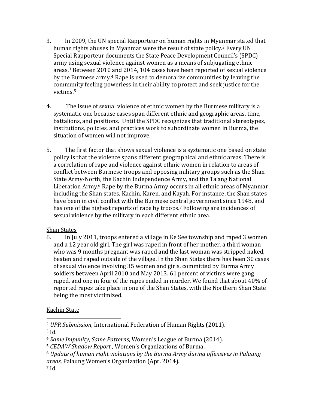- 3. In 2009, the UN special Rapporteur on human rights in Myanmar stated that human rights abuses in Myanmar were the result of state policy.<sup>2</sup> Every UN Special Rapporteur documents the State Peace Development Council's (SPDC) army using sexual violence against women as a means of subjugating ethnic areas.<sup>3</sup> Between 2010 and 2014, 104 cases have been reported of sexual violence by the Burmese army. <sup>4</sup> Rape is used to demoralize communities by leaving the community feeling powerless in their ability to protect and seek justice for the victims.<sup>5</sup>
- 4. The issue of sexual violence of ethnic women by the Burmese military is a systematic one because cases span different ethnic and geographic areas, time, battalions, and positions. Until the SPDC recognizes that traditional stereotypes, institutions, policies, and practices work to subordinate women in Burma, the situation of women will not improve.
- 5. The first factor that shows sexual violence is a systematic one based on state policy is that the violence spans different geographical and ethnic areas. There is a correlation of rape and violence against ethnic women in relation to areas of conflict between Burmese troops and opposing military groups such as the Shan State Army-North, the Kachin Independence Army, and the Ta'ang National Liberation Army.<sup>6</sup> Rape by the Burma Army occurs in all ethnic areas of Myanmar including the Shan states, Kachin, Karen, and Kayah. For instance, the Shan states have been in civil conflict with the Burmese central government since 1948, and has one of the highest reports of rape by troops. <sup>7</sup> Following are incidences of sexual violence by the military in each different ethnic area.

# Shan States

6. In July 2011, troops entered a village in Ke See township and raped 3 women and a 12 year old girl. The girl was raped in front of her mother, a third woman who was 9 months pregnant was raped and the last woman was stripped naked, beaten and raped outside of the village. In the Shan States there has been 30 cases of sexual violence involving 35 women and girls, committed by Burma Army soldiers between April 2010 and May 2013. 61 percent of victims were gang raped, and one in four of the rapes ended in murder. We found that about 40% of reported rapes take place in one of the Shan States, with the Northern Shan State being the most victimized.

# Kachin State

 $\overline{a}$ 

<sup>2</sup> *UPR Submission*, International Federation of Human Rights (2011).

<sup>3</sup> Id.

<sup>4</sup> *Same Impunity, Same Patterns*, Women's League of Burma (2014).

<sup>5</sup> *CEDAW Shadow Report* , Women's Organizations of Burma.

<sup>6</sup> *Update of human right violations by the Burma Army during offensives in Palaung areas*, Palaung Women's Organization (Apr. 2014).

<sup>7</sup> Id.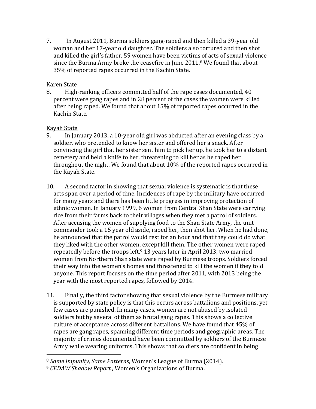7. In August 2011, Burma soldiers gang-raped and then killed a 39-year old woman and her 17-year old daughter. The soldiers also tortured and then shot and killed the girl's father. 59 women have been victims of acts of sexual violence since the Burma Army broke the ceasefire in June 2011.<sup>8</sup> We found that about 35% of reported rapes occurred in the Kachin State.

#### Karen State

8. High-ranking officers committed half of the rape cases documented, 40 percent were gang rapes and in 28 percent of the cases the women were killed after being raped. We found that about 15% of reported rapes occurred in the Kachin State.

#### Kayah State

 $\overline{a}$ 

- 9. In January 2013, a 10-year old girl was abducted after an evening class by a soldier, who pretended to know her sister and offered her a snack. After convincing the girl that her sister sent him to pick her up, he took her to a distant cemetery and held a knife to her, threatening to kill her as he raped her throughout the night. We found that about 10% of the reported rapes occurred in the Kayah State.
- 10. A second factor in showing that sexual violence is systematic is that these acts span over a period of time. Incidences of rape by the military have occurred for many years and there has been little progress in improving protection of ethnic women. In January 1999, 6 women from Central Shan State were carrying rice from their farms back to their villages when they met a patrol of soldiers. After accusing the women of supplying food to the Shan State Army, the unit commander took a 15 year old aside, raped her, then shot her. When he had done, he announced that the patrol would rest for an hour and that they could do what they liked with the other women, except kill them. The other women were raped repeatedly before the troops left. $9$  13 years later in April 2013, two married women from Northern Shan state were raped by Burmese troops. Soldiers forced their way into the women's homes and threatened to kill the women if they told anyone. This report focuses on the time period after 2011, with 2013 being the year with the most reported rapes, followed by 2014.
- 11. Finally, the third factor showing that sexual violence by the Burmese military is supported by state policy is that this occurs across battalions and positions, yet few cases are punished. In many cases, women are not abused by isolated soldiers but by several of them as brutal gang rapes. This shows a collective culture of acceptance across different battalions. We have found that 45% of rapes are gang rapes, spanning different time periods and geographic areas. The majority of crimes documented have been committed by soldiers of the Burmese Army while wearing uniforms. This shows that soldiers are confident in being

<sup>8</sup> *Same Impunity, Same Patterns*, Women's League of Burma (2014).

<sup>9</sup> *CEDAW Shadow Report* , Women's Organizations of Burma.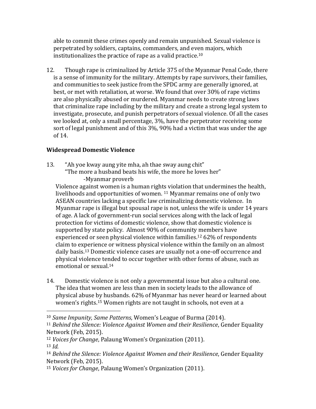able to commit these crimes openly and remain unpunished. Sexual violence is perpetrated by soldiers, captains, commanders, and even majors, which institutionalizes the practice of rape as a valid practice.<sup>10</sup>

12. Though rape is criminalized by Article 375 of the Myanmar Penal Code, there is a sense of immunity for the military. Attempts by rape survivors, their families, and communities to seek justice from the SPDC army are generally ignored, at best, or met with retaliation, at worse. We found that over 30% of rape victims are also physically abused or murdered. Myanmar needs to create strong laws that criminalize rape including by the military and create a strong legal system to investigate, prosecute, and punish perpetrators of sexual violence. Of all the cases we looked at, only a small percentage, 3%, have the perpetrator receiving some sort of legal punishment and of this 3%, 90% had a victim that was under the age of 14.

# **Widespread Domestic Violence**

 $\overline{a}$ 

13. "Ah yoe kway aung yite mha, ah thae sway aung chit" "The more a husband beats his wife, the more he loves her" -Myanmar proverb

Violence against women is a human rights violation that undermines the health, livelihoods and opportunities of women. <sup>11</sup> Myanmar remains one of only two ASEAN countries lacking a specific law criminalizing domestic violence. In Myanmar rape is illegal but spousal rape is not, unless the wife is under 14 years of age. A lack of government-run social services along with the lack of legal protection for victims of domestic violence, show that domestic violence is supported by state policy. Almost 90% of community members have experienced or seen physical violence within families.<sup>12</sup> 62% of respondents claim to experience or witness physical violence within the family on an almost daily basis.<sup>13</sup> Domestic violence cases are usually not a one-off occurrence and physical violence tended to occur together with other forms of abuse, such as emotional or sexual.<sup>14</sup>

14. Domestic violence is not only a governmental issue but also a cultural one. The idea that women are less than men in society leads to the allowance of physical abuse by husbands. 62% of Myanmar has never heard or learned about women's rights.<sup>15</sup> Women rights are not taught in schools, not even at a

<sup>10</sup> *Same Impunity, Same Patterns*, Women's League of Burma (2014).

<sup>11</sup> *Behind the Silence: Violence Against Women and their Resilience*, Gender Equality Network (Feb, 2015).

<sup>12</sup> *Voices for Change*, Palaung Women's Organization (2011). <sup>13</sup> *Id.*

<sup>14</sup> *Behind the Silence: Violence Against Women and their Resilience*, Gender Equality Network (Feb, 2015).

<sup>15</sup> *Voices for Change*, Palaung Women's Organization (2011).